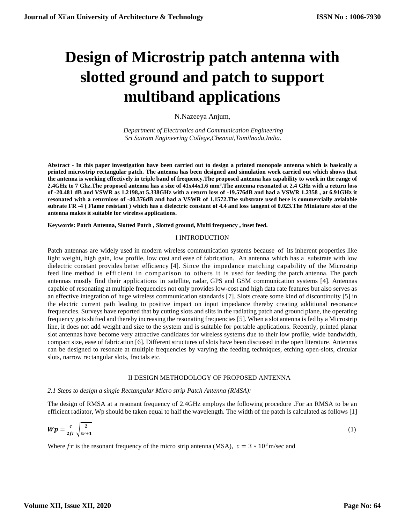# **Design of Microstrip patch antenna with slotted ground and patch to support multiband applications**

N.Nazeeya Anjum,

 *Department of Electronics and Communication Engineering Sri Sairam Engineering College,Chennai,Tamilnadu,India.*

**Abstract - In this paper investigation have been carried out to design a printed monopole antenna which is basically a printed microstrip rectangular patch. The antenna has been designed and simulation work carried out which shows that the antenna is working effectively in triple band of frequency.The proposed antenna has capability to work in the range of 2.4GHz to 7 Ghz.The proposed antenna has a size of 41x44x1.6 mm<sup>3</sup> .The antenna resonated at 2.4 GHz with a return loss of -20.481 dB and VSWR as 1.2198,at 5.338GHz with a return loss of -19.576dB and had a VSWR 1.2358 , at 6.91GHz it resonated with a returnloss of -40.376dB and had a VSWR of 1.1572.The substrate used here is commercially avialable subrate FR -4 ( Flame resistant ) which has a dielectric constant of 4.4 and loss tangent of 0.023.The Miniature size of the antenna makes it suitable for wireless applications.**

**Keywords: Patch Antenna, Slotted Patch , Slotted ground, Multi frequency , inset feed.**

# I INTRODUCTION

Patch antennas are widely used in modern wireless communication systems because of its inherent properties like light weight, high gain, low profile, low cost and ease of fabrication. An antenna which has a substrate with low dielectric constant provides better efficiency [4]. Since the impedance matching capability of the Microstrip feed line method is efficient in comparison to others it is used for feeding the patch antenna. The patch antennas mostly find their applications in satellite, radar, GPS and GSM communication systems [4]. Antennas capable of resonating at multiple frequencies not only provides low-cost and high data rate features but also serves as an effective integration of huge wireless communication standards [7]. Slots create some kind of discontinuity [5] in the electric current path leading to positive impact on input impedance thereby creating additional resonance frequencies. Surveys have reported that by cutting slots and slits in the radiating patch and ground plane, the operating frequency gets shifted and thereby increasing the resonating frequencies [5]. When a slot antenna is fed by a Microstrip line, it does not add weight and size to the system and is suitable for portable applications. Recently, printed planar slot antennas have become very attractive candidates for wireless systems due to their low profile, wide bandwidth, compact size, ease of fabrication [6]. Different structures of slots have been discussed in the open literature. Antennas can be designed to resonate at multiple frequencies by varying the feeding techniques, etching open-slots, circular slots, narrow rectangular slots, fractals etc.

# II DESIGN METHODOLOGY OF PROPOSED ANTENNA

#### *2.1 Steps to design a single Rectangular Micro strip Patch Antenna (RMSA):*

The design of RMSA at a resonant frequency of 2.4GHz employs the following procedure .For an RMSA to be an efficient radiator, Wp should be taken equal to half the wavelength. The width of the patch is calculated as follows [1]

$$
Wp = \frac{c}{2fr} \sqrt{\frac{2}{\varepsilon r + 1}}\tag{1}
$$

Where fr is the resonant frequency of the micro strip antenna (MSA),  $c = 3 * 10<sup>8</sup>$  m/sec and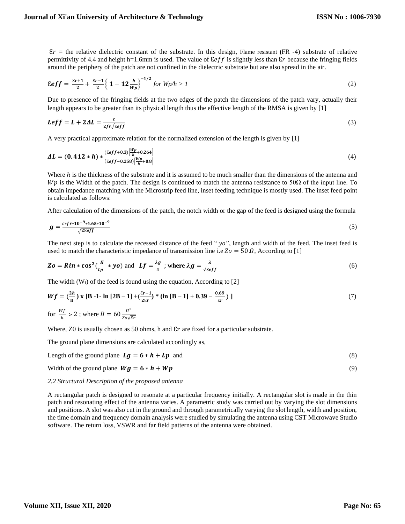$\epsilon r$  = the relative dielectric constant of the substrate. In this design, Flame resistant (FR -4) substrate of relative permittivity of 4.4 and height h=1.6mm is used. The value of  $\mathcal{E}$  is slightly less than  $\mathcal{E}$ r because the fringing fields around the periphery of the patch are not confined in the dielectric substrate but are also spread in the air.

$$
\mathcal{E}eff = \frac{\varepsilon_{r+1}}{2} + \frac{\varepsilon_{r-1}}{2} \left\{ 1 - 12 \frac{h}{wp} \right\}^{-1/2} \text{ for } Wp/h > 1 \tag{2}
$$

Due to presence of the fringing fields at the two edges of the patch the dimensions of the patch vary, actually their length appears to be greater than its physical length thus the effective length of the RMSA is given by [1]

$$
Left = L + 2\Delta L = \frac{c}{2fr\sqrt{\epsilon eff}}\tag{3}
$$

A very practical approximate relation for the normalized extension of the length is given by [1]

$$
\Delta L = (0.412 * h) * \frac{(\varepsilon_{eff} + 0.3) \left[\frac{Wp}{h} + 0.264\right]}{(\varepsilon_{eff} - 0.258) \left[\frac{Wp}{h} + 0.8\right]}
$$
(4)

Where  $h$  is the thickness of the substrate and it is assumed to be much smaller than the dimensions of the antenna and Wp is the Width of the patch. The design is continued to match the antenna resistance to 50 $\Omega$  of the input line. To obtain impedance matching with the Microstrip feed line, inset feeding technique is mostly used. The inset feed point is calculated as follows:

After calculation of the dimensions of the patch, the notch width or the gap of the feed is designed using the formula

$$
g = \frac{c \cdot f r \cdot 10^{-9} \cdot 4.65 \cdot 10^{-9}}{\sqrt{2\epsilon_{eff}}}
$$
(5)

The next step is to calculate the recessed distance of the feed " $yo$ ", length and width of the feed. The inset feed is used to match the characteristic impedance of transmission line i.e  $Zo = 50 \Omega$ , According to [1]

$$
Zo = Rin * \cos^2(\frac{\pi}{Lp} * yo) \text{ and } Lf = \frac{\lambda g}{4} \text{; where } \lambda g = \frac{\lambda}{\sqrt{\epsilon}eff}
$$
 (6)

The width  $(W_f)$  of the feed is found using the equation, According to [2]

$$
Wf = \left(\frac{2h}{\pi}\right) \mathbf{x} \left[\mathbf{B} - 1 - \ln\left[2\mathbf{B} - 1\right] + \left(\frac{\varepsilon r - 1}{2\varepsilon r}\right) * (\ln\left[\mathbf{B} - 1\right] + 0.39 - \frac{0.69}{\varepsilon r})\right]
$$
\nfor  $\frac{Wf}{h} > 2$ ; where  $B = 60 \frac{\pi^2}{Z \cdot 0 \sqrt{\varepsilon r}}$ 

\n(7)

Where, Z0 is usually chosen as 50 ohms, h and  $Er$  are fixed for a particular substrate.

The ground plane dimensions are calculated accordingly as,

Length of the ground plane 
$$
Lg = 6 * h + Lp
$$
 and (8)

Width of the ground plane  $Wg = 6 * h + Wp$  (9)

#### *2.2 Structural Description of the proposed antenna*

A rectangular patch is designed to resonate at a particular frequency initially. A rectangular slot is made in the thin patch and resonating effect of the antenna varies. A parametric study was carried out by varying the slot dimensions and positions. A slot was also cut in the ground and through parametrically varying the slot length, width and position, the time domain and frequency domain analysis were studied by simulating the antenna using CST Microwave Studio software. The return loss, VSWR and far field patterns of the antenna were obtained.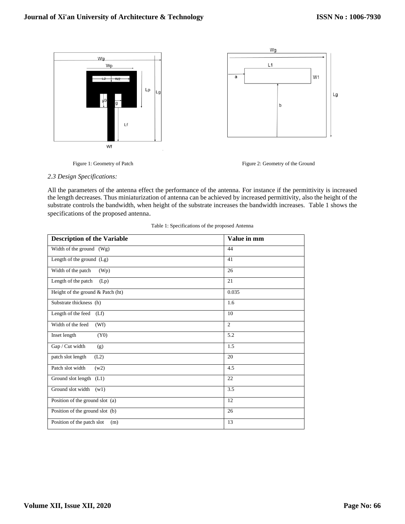

Figure 1: Geometry of Patch Figure 2: Geometry of the Ground

# *2.3 Design Specifications:*

All the parameters of the antenna effect the performance of the antenna. For instance if the permittivity is increased the length decreases. Thus miniaturization of antenna can be achieved by increased permittivity, also the height of the substrate controls the bandwidth, when height of the substrate increases the bandwidth increases. Table 1 shows the specifications of the proposed antenna.

| <b>Description of the Variable</b> | Value in mm    |
|------------------------------------|----------------|
| Width of the ground (Wg)           | 44             |
| Length of the ground (Lg)          | 41             |
| Width of the patch<br>(Wp)         | 26             |
| Length of the patch<br>(Lp)        | 21             |
| Height of the ground & Patch (ht)  | 0.035          |
| Substrate thickness (h)            | 1.6            |
| Length of the feed<br>(Lf)         | 10             |
| Width of the feed<br>(Wf)          | $\overline{c}$ |
| Inset length<br>(Y0)               | 5.2            |
| Gap / Cut width<br>(g)             | 1.5            |
| patch slot length<br>(L2)          | 20             |
| Patch slot width<br>(w2)           | 4.5            |
| Ground slot length (L1)            | 22             |
| Ground slot width<br>(w1)          | 3.5            |
| Position of the ground slot (a)    | 12             |
| Position of the ground slot (b)    | 26             |
| Position of the patch slot<br>(m)  | 13             |

|  | Table 1: Specifications of the proposed Antenna |  |  |  |
|--|-------------------------------------------------|--|--|--|
|  |                                                 |  |  |  |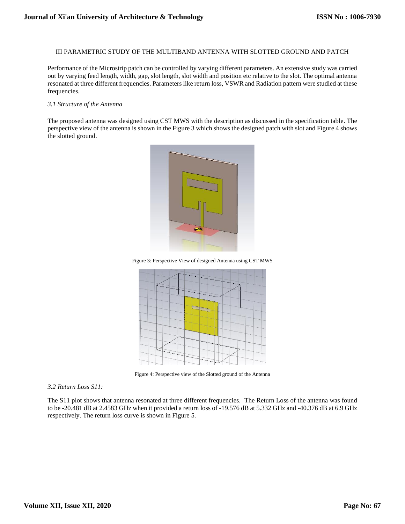# III PARAMETRIC STUDY OF THE MULTIBAND ANTENNA WITH SLOTTED GROUND AND PATCH

Performance of the Microstrip patch can be controlled by varying different parameters. An extensive study was carried out by varying feed length, width, gap, slot length, slot width and position etc relative to the slot. The optimal antenna resonated at three different frequencies. Parameters like return loss, VSWR and Radiation pattern were studied at these frequencies.

#### *3.1 Structure of the Antenna*

The proposed antenna was designed using CST MWS with the description as discussed in the specification table. The perspective view of the antenna is shown in the Figure 3 which shows the designed patch with slot and Figure 4 shows the slotted ground.



Figure 3: Perspective View of designed Antenna using CST MWS



Figure 4: Perspective view of the Slotted ground of the Antenna

# *3.2 Return Loss S11:*

The S11 plot shows that antenna resonated at three different frequencies. The Return Loss of the antenna was found to be -20.481 dB at 2.4583 GHz when it provided a return loss of -19.576 dB at 5.332 GHz and -40.376 dB at 6.9 GHz respectively. The return loss curve is shown in Figure 5.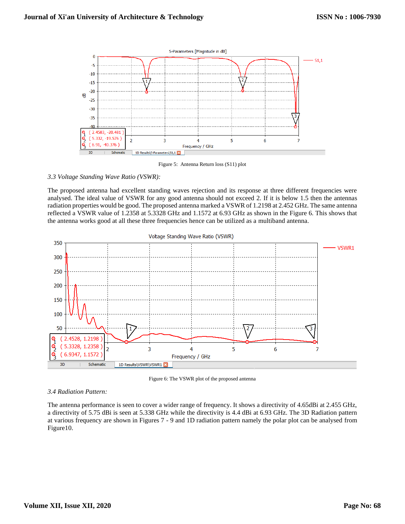

Figure 5: Antenna Return loss (S11) plot

# *3.3 Voltage Standing Wave Ratio (VSWR):*

The proposed antenna had excellent standing waves rejection and its response at three different frequencies were analysed. The ideal value of VSWR for any good antenna should not exceed 2. If it is below 1.5 then the antennas radiation properties would be good. The proposed antenna marked a VSWR of 1.2198 at 2.452 GHz. The same antenna reflected a VSWR value of 1.2358 at 5.3328 GHz and 1.1572 at 6.93 GHz as shown in the Figure 6. This shows that the antenna works good at all these three frequencies hence can be utilized as a multiband antenna.



Figure 6: The VSWR plot of the proposed antenna

## *3.4 Radiation Pattern:*

The antenna performance is seen to cover a wider range of frequency. It shows a directivity of 4.65dBi at 2.455 GHz, a directivity of 5.75 dBi is seen at 5.338 GHz while the directivity is 4.4 dBi at 6.93 GHz. The 3D Radiation pattern at various frequency are shown in Figures 7 - 9 and 1D radiation pattern namely the polar plot can be analysed from Figure10.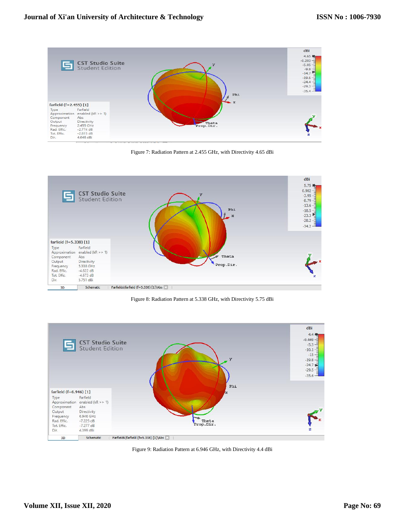

Figure 7: Radiation Pattern at 2.455 GHz, with Directivity 4.65 dBi



Figure 8: Radiation Pattern at 5.338 GHz, with Directivity 5.75 dBi



Figure 9: Radiation Pattern at 6.946 GHz, with Directivity 4.4 dBi